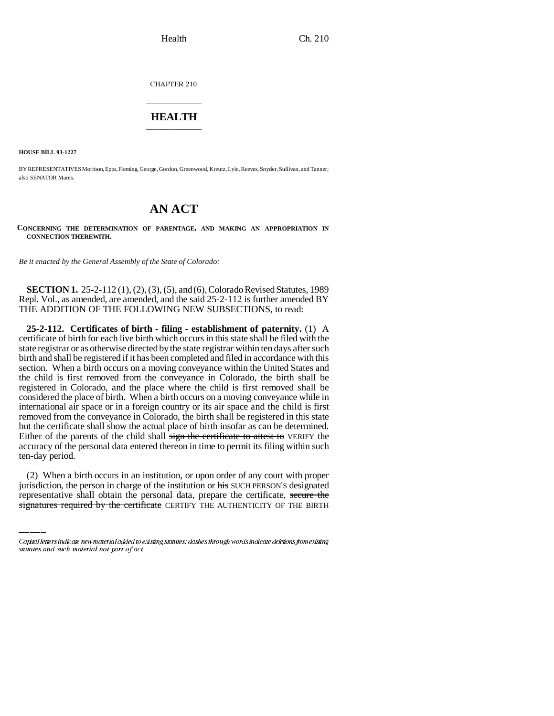CHAPTER 210

## \_\_\_\_\_\_\_\_\_\_\_\_\_\_\_ **HEALTH** \_\_\_\_\_\_\_\_\_\_\_\_\_\_\_

**HOUSE BILL 93-1227**

BY REPRESENTATIVES Morrison, Epps, Fleming, George, Gordon, Greenwood, Kreutz, Lyle, Reeves, Snyder, Sullivan, and Tanner; also SENATOR Mares.

# **AN ACT**

**CONCERNING THE DETERMINATION OF PARENTAGE, AND MAKING AN APPROPRIATION IN CONNECTION THEREWITH.**

*Be it enacted by the General Assembly of the State of Colorado:*

**SECTION 1.** 25-2-112 (1), (2), (3), (5), and (6), Colorado Revised Statutes, 1989 Repl. Vol., as amended, are amended, and the said 25-2-112 is further amended BY THE ADDITION OF THE FOLLOWING NEW SUBSECTIONS, to read:

 $\overline{a}$ **25-2-112. Certificates of birth - filing - establishment of paternity.** (1) A certificate of birth for each live birth which occurs in this state shall be filed with the state registrar or as otherwise directed by the state registrar within ten days after such birth and shall be registered if it has been completed and filed in accordance with this section. When a birth occurs on a moving conveyance within the United States and the child is first removed from the conveyance in Colorado, the birth shall be registered in Colorado, and the place where the child is first removed shall be considered the place of birth. When a birth occurs on a moving conveyance while in international air space or in a foreign country or its air space and the child is first removed from the conveyance in Colorado, the birth shall be registered in this state but the certificate shall show the actual place of birth insofar as can be determined. Either of the parents of the child shall sign the certificate to attest to VERIFY the accuracy of the personal data entered thereon in time to permit its filing within such ten-day period.

(2) When a birth occurs in an institution, or upon order of any court with proper jurisdiction, the person in charge of the institution or his SUCH PERSON'S designated representative shall obtain the personal data, prepare the certificate, secure the signatures required by the certificate CERTIFY THE AUTHENTICITY OF THE BIRTH

Capital letters indicate new material added to existing statutes; dashes through words indicate deletions from existing statutes and such material not part of act.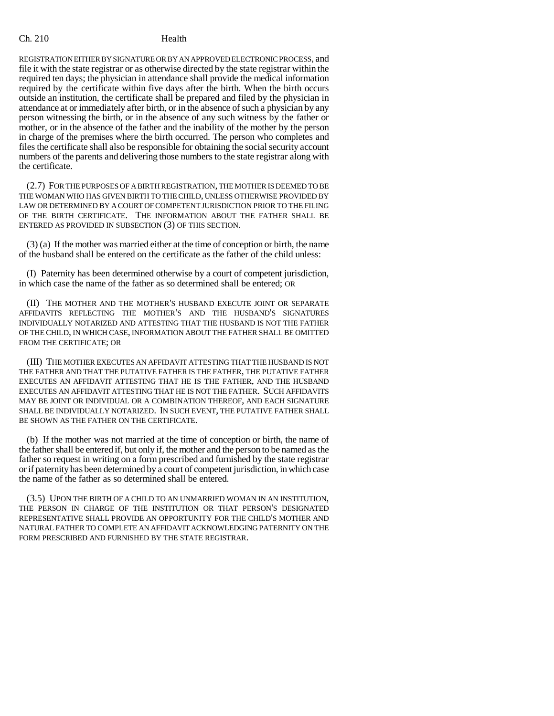REGISTRATION EITHER BY SIGNATURE OR BY AN APPROVED ELECTRONIC PROCESS, and file it with the state registrar or as otherwise directed by the state registrar within the required ten days; the physician in attendance shall provide the medical information required by the certificate within five days after the birth. When the birth occurs outside an institution, the certificate shall be prepared and filed by the physician in attendance at or immediately after birth, or in the absence of such a physician by any person witnessing the birth, or in the absence of any such witness by the father or mother, or in the absence of the father and the inability of the mother by the person in charge of the premises where the birth occurred. The person who completes and files the certificate shall also be responsible for obtaining the social security account numbers of the parents and delivering those numbers to the state registrar along with the certificate.

(2.7) FOR THE PURPOSES OF A BIRTH REGISTRATION, THE MOTHER IS DEEMED TO BE THE WOMAN WHO HAS GIVEN BIRTH TO THE CHILD, UNLESS OTHERWISE PROVIDED BY LAW OR DETERMINED BY A COURT OF COMPETENT JURISDICTION PRIOR TO THE FILING OF THE BIRTH CERTIFICATE. THE INFORMATION ABOUT THE FATHER SHALL BE ENTERED AS PROVIDED IN SUBSECTION (3) OF THIS SECTION.

(3) (a) If the mother was married either at the time of conception or birth, the name of the husband shall be entered on the certificate as the father of the child unless:

(I) Paternity has been determined otherwise by a court of competent jurisdiction, in which case the name of the father as so determined shall be entered; OR

(II) THE MOTHER AND THE MOTHER'S HUSBAND EXECUTE JOINT OR SEPARATE AFFIDAVITS REFLECTING THE MOTHER'S AND THE HUSBAND'S SIGNATURES INDIVIDUALLY NOTARIZED AND ATTESTING THAT THE HUSBAND IS NOT THE FATHER OF THE CHILD, IN WHICH CASE, INFORMATION ABOUT THE FATHER SHALL BE OMITTED FROM THE CERTIFICATE; OR

(III) THE MOTHER EXECUTES AN AFFIDAVIT ATTESTING THAT THE HUSBAND IS NOT THE FATHER AND THAT THE PUTATIVE FATHER IS THE FATHER, THE PUTATIVE FATHER EXECUTES AN AFFIDAVIT ATTESTING THAT HE IS THE FATHER, AND THE HUSBAND EXECUTES AN AFFIDAVIT ATTESTING THAT HE IS NOT THE FATHER. SUCH AFFIDAVITS MAY BE JOINT OR INDIVIDUAL OR A COMBINATION THEREOF, AND EACH SIGNATURE SHALL BE INDIVIDUALLY NOTARIZED. IN SUCH EVENT, THE PUTATIVE FATHER SHALL BE SHOWN AS THE FATHER ON THE CERTIFICATE.

(b) If the mother was not married at the time of conception or birth, the name of the father shall be entered if, but only if, the mother and the person to be named as the father so request in writing on a form prescribed and furnished by the state registrar or if paternity has been determined by a court of competent jurisdiction, in which case the name of the father as so determined shall be entered.

(3.5) UPON THE BIRTH OF A CHILD TO AN UNMARRIED WOMAN IN AN INSTITUTION, THE PERSON IN CHARGE OF THE INSTITUTION OR THAT PERSON'S DESIGNATED REPRESENTATIVE SHALL PROVIDE AN OPPORTUNITY FOR THE CHILD'S MOTHER AND NATURAL FATHER TO COMPLETE AN AFFIDAVIT ACKNOWLEDGING PATERNITY ON THE FORM PRESCRIBED AND FURNISHED BY THE STATE REGISTRAR.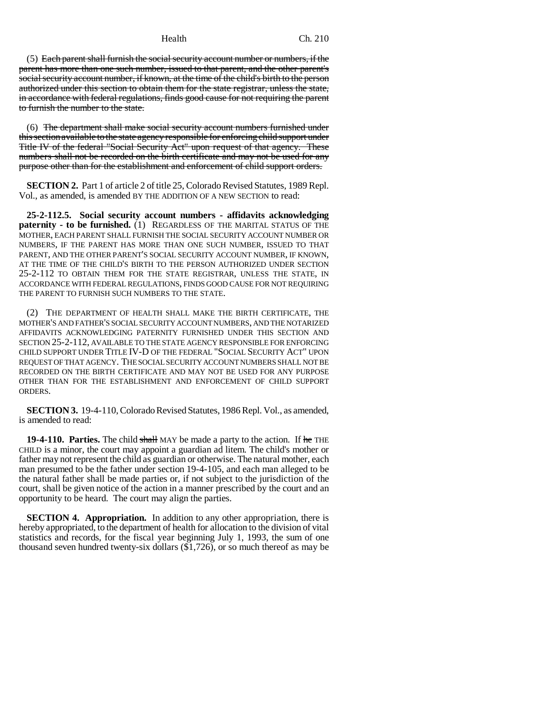(5) Each parent shall furnish the social security account number or numbers, if the parent has more than one such number, issued to that parent, and the other parent's social security account number, if known, at the time of the child's birth to the person authorized under this section to obtain them for the state registrar, unless the state, in accordance with federal regulations, finds good cause for not requiring the parent to furnish the number to the state.

(6) The department shall make social security account numbers furnished under this section available to the state agency responsible for enforcing child support under Title IV of the federal "Social Security Act" upon request of that agency. These numbers shall not be recorded on the birth certificate and may not be used for any purpose other than for the establishment and enforcement of child support orders.

**SECTION 2.** Part 1 of article 2 of title 25, Colorado Revised Statutes, 1989 Repl. Vol., as amended, is amended BY THE ADDITION OF A NEW SECTION to read:

**25-2-112.5. Social security account numbers - affidavits acknowledging paternity - to be furnished.** (1) REGARDLESS OF THE MARITAL STATUS OF THE MOTHER, EACH PARENT SHALL FURNISH THE SOCIAL SECURITY ACCOUNT NUMBER OR NUMBERS, IF THE PARENT HAS MORE THAN ONE SUCH NUMBER, ISSUED TO THAT PARENT, AND THE OTHER PARENT'S SOCIAL SECURITY ACCOUNT NUMBER, IF KNOWN, AT THE TIME OF THE CHILD'S BIRTH TO THE PERSON AUTHORIZED UNDER SECTION 25-2-112 TO OBTAIN THEM FOR THE STATE REGISTRAR, UNLESS THE STATE, IN ACCORDANCE WITH FEDERAL REGULATIONS, FINDS GOOD CAUSE FOR NOT REQUIRING THE PARENT TO FURNISH SUCH NUMBERS TO THE STATE.

(2) THE DEPARTMENT OF HEALTH SHALL MAKE THE BIRTH CERTIFICATE, THE MOTHER'S AND FATHER'S SOCIAL SECURITY ACCOUNT NUMBERS, AND THE NOTARIZED AFFIDAVITS ACKNOWLEDGING PATERNITY FURNISHED UNDER THIS SECTION AND SECTION 25-2-112, AVAILABLE TO THE STATE AGENCY RESPONSIBLE FOR ENFORCING CHILD SUPPORT UNDER TITLE IV-D OF THE FEDERAL "SOCIAL SECURITY ACT" UPON REQUEST OF THAT AGENCY. THE SOCIAL SECURITY ACCOUNT NUMBERS SHALL NOT BE RECORDED ON THE BIRTH CERTIFICATE AND MAY NOT BE USED FOR ANY PURPOSE OTHER THAN FOR THE ESTABLISHMENT AND ENFORCEMENT OF CHILD SUPPORT ORDERS.

**SECTION 3.** 19-4-110, Colorado Revised Statutes, 1986 Repl. Vol., as amended, is amended to read:

**19-4-110. Parties.** The child shall MAY be made a party to the action. If he THE CHILD is a minor, the court may appoint a guardian ad litem. The child's mother or father may not represent the child as guardian or otherwise. The natural mother, each man presumed to be the father under section 19-4-105, and each man alleged to be the natural father shall be made parties or, if not subject to the jurisdiction of the court, shall be given notice of the action in a manner prescribed by the court and an opportunity to be heard. The court may align the parties.

**SECTION 4. Appropriation.** In addition to any other appropriation, there is hereby appropriated, to the department of health for allocation to the division of vital statistics and records, for the fiscal year beginning July 1, 1993, the sum of one thousand seven hundred twenty-six dollars (\$1,726), or so much thereof as may be